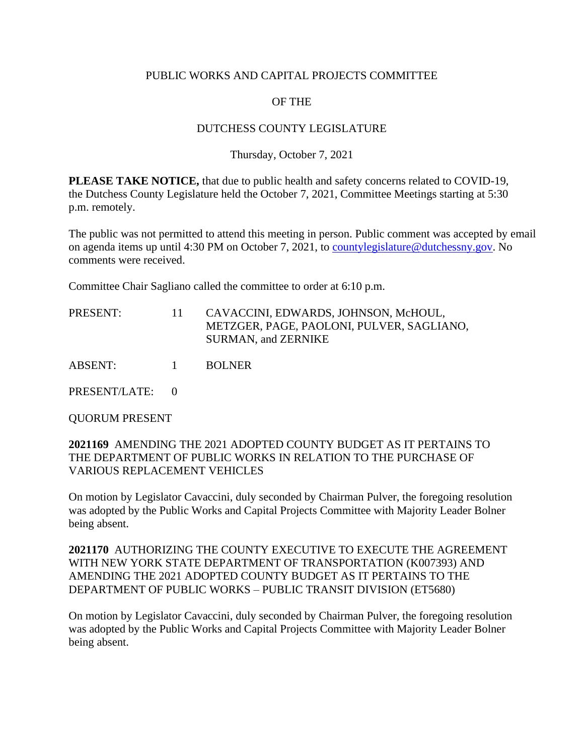#### PUBLIC WORKS AND CAPITAL PROJECTS COMMITTEE

# OF THE

## DUTCHESS COUNTY LEGISLATURE

## Thursday, October 7, 2021

**PLEASE TAKE NOTICE,** that due to public health and safety concerns related to COVID-19, the Dutchess County Legislature held the October 7, 2021, Committee Meetings starting at 5:30 p.m. remotely.

The public was not permitted to attend this meeting in person. Public comment was accepted by email on agenda items up until 4:30 PM on October 7, 2021, to [countylegislature@dutchessny.gov.](mailto:countylegislature@dutchessny.gov) No comments were received.

Committee Chair Sagliano called the committee to order at 6:10 p.m.

| PRESENT: |  | CAVACCINI, EDWARDS, JOHNSON, McHOUL,      |
|----------|--|-------------------------------------------|
|          |  | METZGER, PAGE, PAOLONI, PULVER, SAGLIANO, |
|          |  | SURMAN, and ZERNIKE                       |

ABSENT: 1 BOLNER

PRESENT/LATE: 0

QUORUM PRESENT

## **2021169** AMENDING THE 2021 ADOPTED COUNTY BUDGET AS IT PERTAINS TO THE DEPARTMENT OF PUBLIC WORKS IN RELATION TO THE PURCHASE OF VARIOUS REPLACEMENT VEHICLES

On motion by Legislator Cavaccini, duly seconded by Chairman Pulver, the foregoing resolution was adopted by the Public Works and Capital Projects Committee with Majority Leader Bolner being absent.

**2021170** AUTHORIZING THE COUNTY EXECUTIVE TO EXECUTE THE AGREEMENT WITH NEW YORK STATE DEPARTMENT OF TRANSPORTATION (K007393) AND AMENDING THE 2021 ADOPTED COUNTY BUDGET AS IT PERTAINS TO THE DEPARTMENT OF PUBLIC WORKS – PUBLIC TRANSIT DIVISION (ET5680)

On motion by Legislator Cavaccini, duly seconded by Chairman Pulver, the foregoing resolution was adopted by the Public Works and Capital Projects Committee with Majority Leader Bolner being absent.